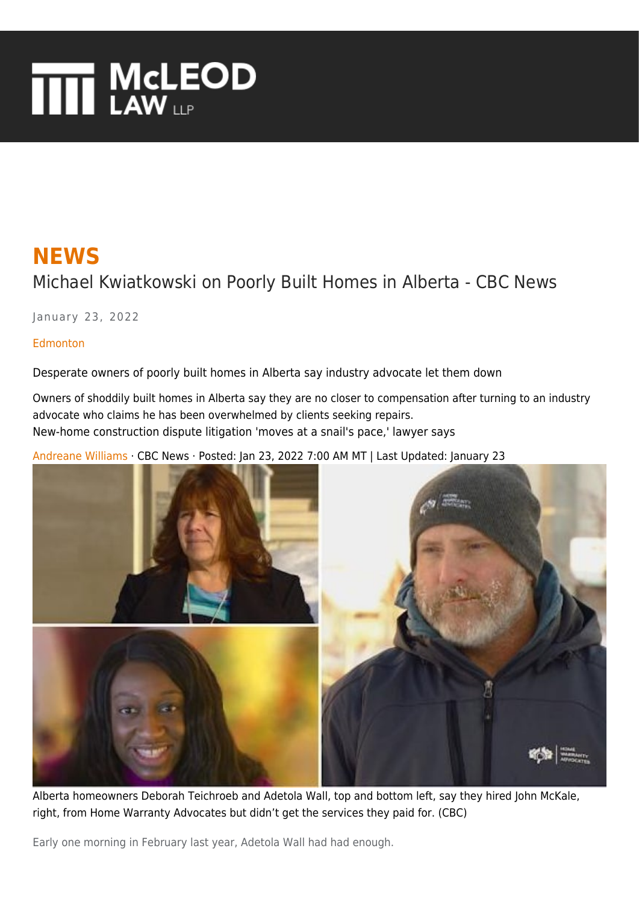# **THE MCLEOD**

# **NEWS** Michael Kwiatkowski on Poorly Built Homes in Alberta - CBC News

January 23, 2022

[Edmonton](https://www.mcleod-law.com/news/canada/edmonton)

Desperate owners of poorly built homes in Alberta say industry advocate let them down

Owners of shoddily built homes in Alberta say they are no closer to compensation after turning to an industry advocate who claims he has been overwhelmed by clients seeking repairs. New-home construction dispute litigation 'moves at a snail's pace,' lawyer says

[Andreane Williams](https://www.mcleod-law.com/news/canada/edmonton/author/andreane-williams-1.5358815) · CBC News · Posted: Jan 23, 2022 7:00 AM MT | Last Updated: January 23



Alberta homeowners Deborah Teichroeb and Adetola Wall, top and bottom left, say they hired John McKale, right, from Home Warranty Advocates but didn't get the services they paid for. (CBC)

Early one morning in February last year, Adetola Wall had had enough.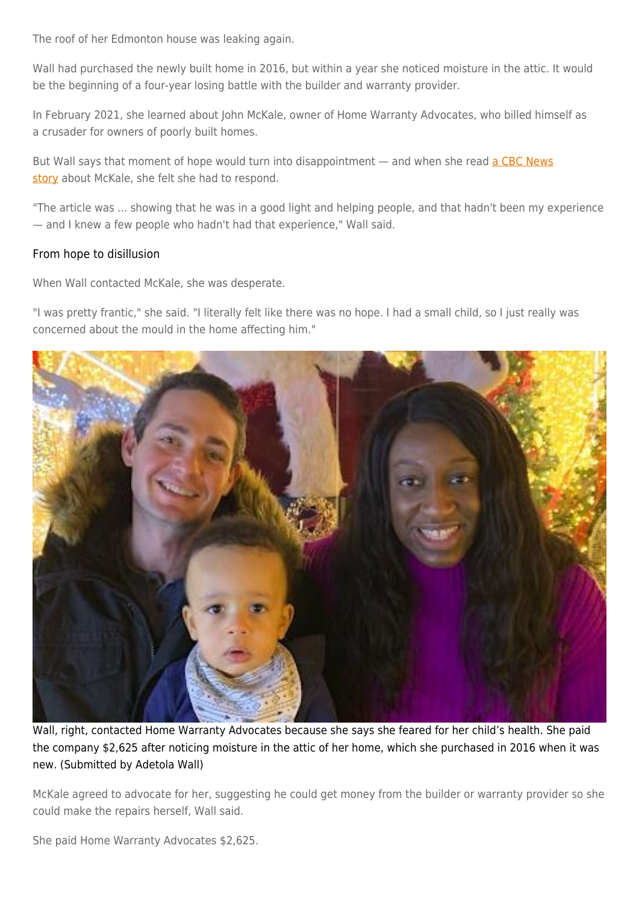The roof of her Edmonton house was leaking again.

Wall had purchased the newly built home in 2016, but within a year she noticed moisture in the attic. It would be the beginning of a four-year losing battle with the builder and warranty provider.

In February 2021, she learned about John McKale, owner of Home Warranty Advocates, who billed himself as a crusader for owners of poorly built homes.

But Wall says that moment of hope would turn into disappointment - and when she read [a CBC News](https://www.cbc.ca/news/canada/edmonton/home-warranty-program-failing-to-protect-albertans-from-shoddy-builds-advocate-warns-1.6234600) [story](https://www.cbc.ca/news/canada/edmonton/home-warranty-program-failing-to-protect-albertans-from-shoddy-builds-advocate-warns-1.6234600) about McKale, she felt she had to respond.

"The article was ... showing that he was in a good light and helping people, and that hadn't been my experience — and I knew a few people who hadn't had that experience," Wall said.

### From hope to disillusion

When Wall contacted McKale, she was desperate.

"I was pretty frantic," she said. "I literally felt like there was no hope. I had a small child, so I just really was concerned about the mould in the home affecting him."



Wall, right, contacted Home Warranty Advocates because she says she feared for her child's health. She paid the company \$2,625 after noticing moisture in the attic of her home, which she purchased in 2016 when it was new. (Submitted by Adetola Wall)

McKale agreed to advocate for her, suggesting he could get money from the builder or warranty provider so she could make the repairs herself, Wall said.

She paid Home Warranty Advocates \$2,625.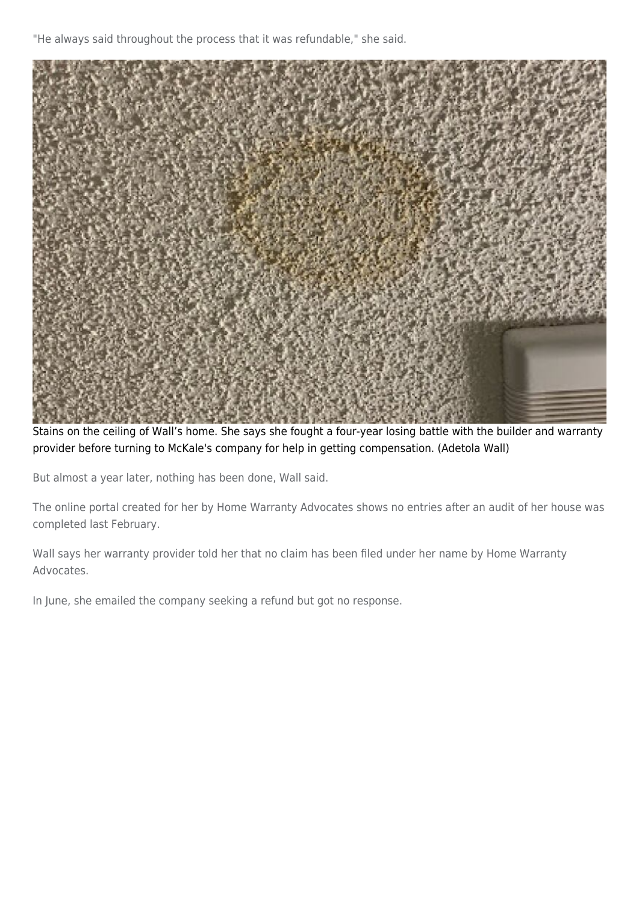"He always said throughout the process that it was refundable," she said.



Stains on the ceiling of Wall's home. She says she fought a four-year losing battle with the builder and warranty provider before turning to McKale's company for help in getting compensation. (Adetola Wall)

But almost a year later, nothing has been done, Wall said.

The online portal created for her by Home Warranty Advocates shows no entries after an audit of her house was completed last February.

Wall says her warranty provider told her that no claim has been filed under her name by Home Warranty Advocates.

In June, she emailed the company seeking a refund but got no response.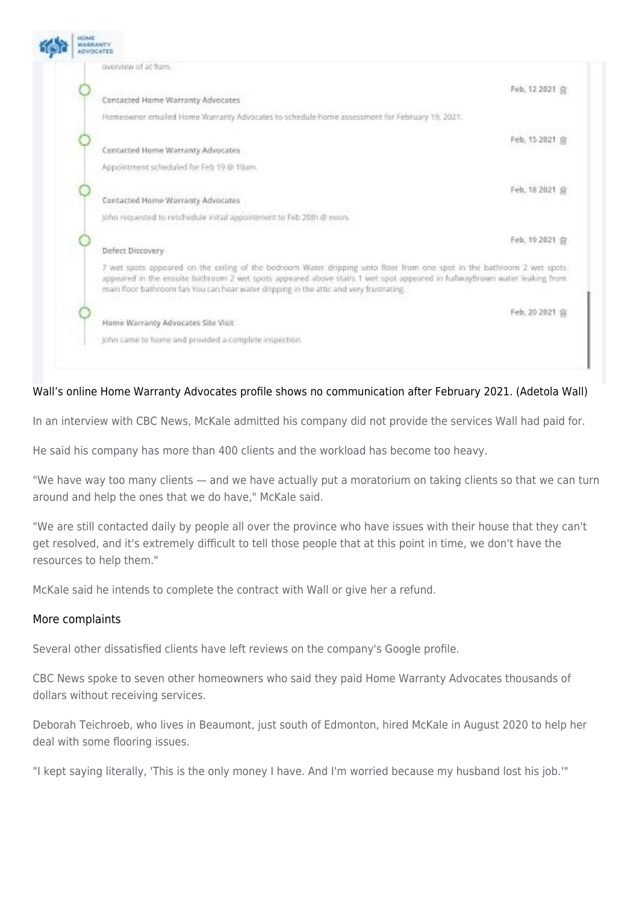

## Wall's online Home Warranty Advocates profile shows no communication after February 2021. (Adetola Wall)

In an interview with CBC News, McKale admitted his company did not provide the services Wall had paid for.

He said his company has more than 400 clients and the workload has become too heavy.

"We have way too many clients — and we have actually put a moratorium on taking clients so that we can turn around and help the ones that we do have," McKale said.

"We are still contacted daily by people all over the province who have issues with their house that they can't get resolved, and it's extremely difficult to tell those people that at this point in time, we don't have the resources to help them."

McKale said he intends to complete the contract with Wall or give her a refund.

#### More complaints

Several other dissatisfied clients have left reviews on the company's Google profile.

CBC News spoke to seven other homeowners who said they paid Home Warranty Advocates thousands of dollars without receiving services.

Deborah Teichroeb, who lives in Beaumont, just south of Edmonton, hired McKale in August 2020 to help her deal with some flooring issues.

"I kept saying literally, 'This is the only money I have. And I'm worried because my husband lost his job.'"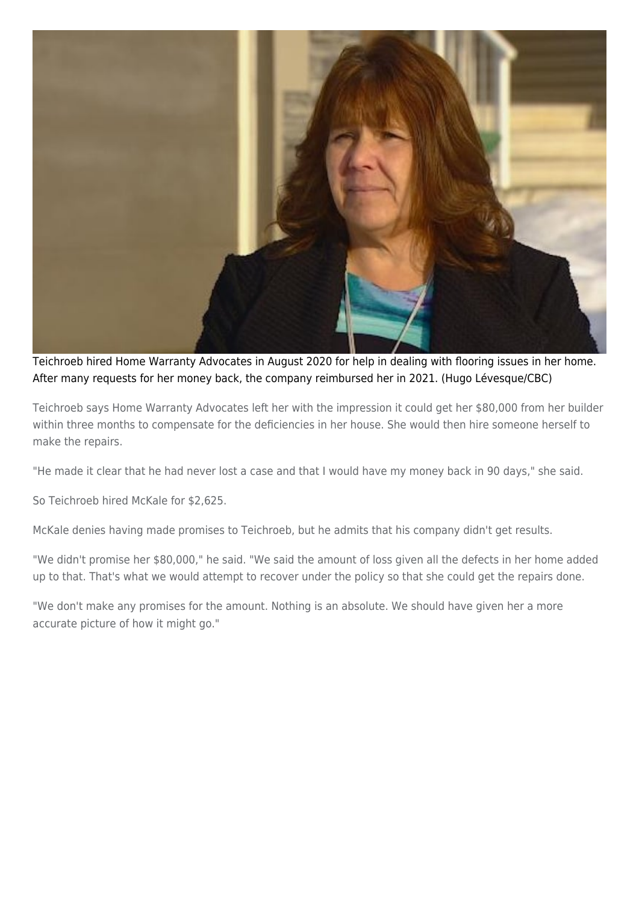

Teichroeb hired Home Warranty Advocates in August 2020 for help in dealing with flooring issues in her home. After many requests for her money back, the company reimbursed her in 2021. (Hugo Lévesque/CBC)

Teichroeb says Home Warranty Advocates left her with the impression it could get her \$80,000 from her builder within three months to compensate for the deficiencies in her house. She would then hire someone herself to make the repairs.

"He made it clear that he had never lost a case and that I would have my money back in 90 days," she said.

So Teichroeb hired McKale for \$2,625.

McKale denies having made promises to Teichroeb, but he admits that his company didn't get results.

"We didn't promise her \$80,000," he said. "We said the amount of loss given all the defects in her home added up to that. That's what we would attempt to recover under the policy so that she could get the repairs done.

"We don't make any promises for the amount. Nothing is an absolute. We should have given her a more accurate picture of how it might go."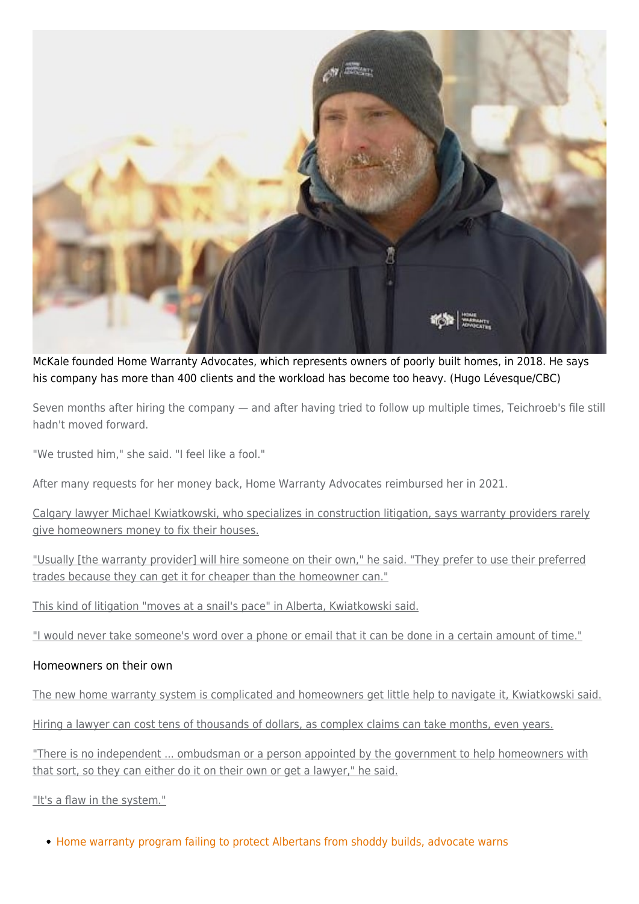

McKale founded Home Warranty Advocates, which represents owners of poorly built homes, in 2018. He says his company has more than 400 clients and the workload has become too heavy. (Hugo Lévesque/CBC)

Seven months after hiring the company — and after having tried to follow up multiple times, Teichroeb's file still hadn't moved forward.

"We trusted him," she said. "I feel like a fool."

After many requests for her money back, Home Warranty Advocates reimbursed her in 2021.

Calgary lawyer Michael Kwiatkowski, who specializes in construction litigation, says warranty providers rarely give homeowners money to fix their houses.

"Usually [the warranty provider] will hire someone on their own," he said. "They prefer to use their preferred trades because they can get it for cheaper than the homeowner can."

This kind of litigation "moves at a snail's pace" in Alberta, Kwiatkowski said.

"I would never take someone's word over a phone or email that it can be done in a certain amount of time."

#### Homeowners on their own

The new home warranty system is complicated and homeowners get little help to navigate it, Kwiatkowski said.

Hiring a lawyer can cost tens of thousands of dollars, as complex claims can take months, even years.

"There is no independent ... ombudsman or a person appointed by the government to help homeowners with that sort, so they can either do it on their own or get a lawyer," he said.

"It's a flaw in the system."

• [Home warranty program failing to protect Albertans from shoddy builds, advocate warns](https://www.cbc.ca/news/canada/edmonton/home-warranty-program-failing-to-protect-albertans-from-shoddy-builds-advocate-warns-1.6234600)